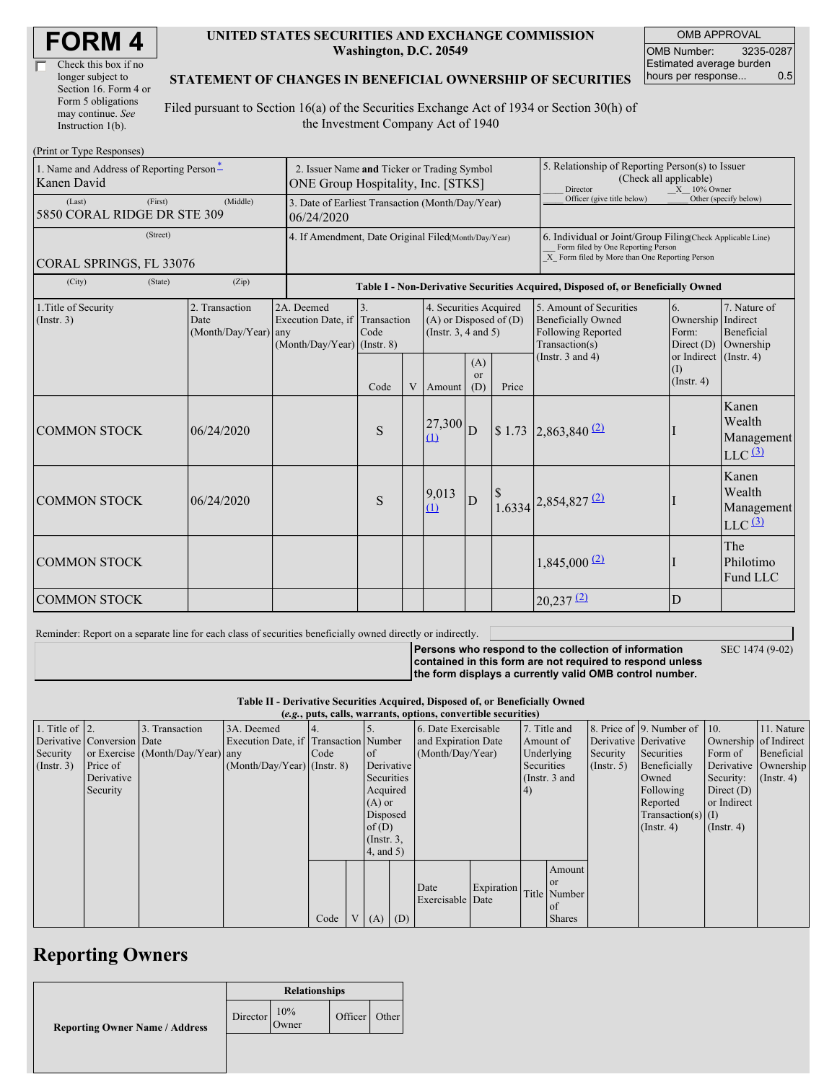| <b>FORM4</b> |
|--------------|
|--------------|

| Check this box if no  |
|-----------------------|
| longer subject to     |
| Section 16. Form 4 or |
| Form 5 obligations    |
| may continue. See     |
| Instruction 1(b).     |

#### **UNITED STATES SECURITIES AND EXCHANGE COMMISSION Washington, D.C. 20549**

OMB APPROVAL OMB Number: 3235-0287 Estimated average burden hours per response... 0.5

#### **STATEMENT OF CHANGES IN BENEFICIAL OWNERSHIP OF SECURITIES**

Filed pursuant to Section 16(a) of the Securities Exchange Act of 1934 or Section 30(h) of the Investment Company Act of 1940

| (Print or Type Responses)                               |                                                                                                                                                                                                                                     |  |                                                                                  |                                                                                                     |                                                                      |                             |                                                                                                                                                    |                                      |                                                   |                                              |
|---------------------------------------------------------|-------------------------------------------------------------------------------------------------------------------------------------------------------------------------------------------------------------------------------------|--|----------------------------------------------------------------------------------|-----------------------------------------------------------------------------------------------------|----------------------------------------------------------------------|-----------------------------|----------------------------------------------------------------------------------------------------------------------------------------------------|--------------------------------------|---------------------------------------------------|----------------------------------------------|
| 1. Name and Address of Reporting Person*<br>Kanen David | 2. Issuer Name and Ticker or Trading Symbol<br>ONE Group Hospitality, Inc. [STKS]                                                                                                                                                   |  |                                                                                  |                                                                                                     |                                                                      |                             | 5. Relationship of Reporting Person(s) to Issuer<br>(Check all applicable)<br>Director<br>$X = 10\%$ Owner                                         |                                      |                                                   |                                              |
| (First)<br>(Last)<br>5850 CORAL RIDGE DR STE 309        | 3. Date of Earliest Transaction (Month/Day/Year)<br>06/24/2020                                                                                                                                                                      |  |                                                                                  |                                                                                                     |                                                                      | Officer (give title below)  |                                                                                                                                                    | Other (specify below)                |                                                   |                                              |
| (Street)<br>CORAL SPRINGS, FL 33076                     | 4. If Amendment, Date Original Filed(Month/Day/Year)                                                                                                                                                                                |  |                                                                                  |                                                                                                     |                                                                      |                             | 6. Individual or Joint/Group Filing Check Applicable Line)<br>Form filed by One Reporting Person<br>X Form filed by More than One Reporting Person |                                      |                                                   |                                              |
| (State)<br>(City)                                       | (Zip)                                                                                                                                                                                                                               |  | Table I - Non-Derivative Securities Acquired, Disposed of, or Beneficially Owned |                                                                                                     |                                                                      |                             |                                                                                                                                                    |                                      |                                                   |                                              |
| 1. Title of Security<br>(Insert. 3)                     | 2. Transaction<br>2A. Deemed<br>3.<br>4. Securities Acquired<br>Execution Date, if Transaction<br>$(A)$ or Disposed of $(D)$<br>Date<br>$(Month/Day/Year)$ any<br>Code<br>(Instr. $3, 4$ and $5$ )<br>$(Month/Day/Year)$ (Instr. 8) |  |                                                                                  | 5. Amount of Securities<br><b>Beneficially Owned</b><br><b>Following Reported</b><br>Transaction(s) | 7. Nature of<br>Ownership Indirect<br><b>Beneficial</b><br>Ownership |                             |                                                                                                                                                    |                                      |                                                   |                                              |
|                                                         |                                                                                                                                                                                                                                     |  | Code                                                                             | $\mathbf{V}$                                                                                        | Amount                                                               | (A)<br><sub>or</sub><br>(D) | Price                                                                                                                                              | (Instr. $3$ and $4$ )                | or Indirect (Instr. 4)<br>(I)<br>$($ Instr. 4 $)$ |                                              |
| <b>COMMON STOCK</b>                                     | 06/24/2020                                                                                                                                                                                                                          |  | S                                                                                |                                                                                                     | $27,300$ <sub>D</sub><br>(1)                                         |                             | \$1.73                                                                                                                                             | $2,863,840$ <sup>(2)</sup>           |                                                   | Kanen<br>Wealth<br>Management<br>$LLC$ $(3)$ |
| <b>COMMON STOCK</b>                                     | 06/24/2020                                                                                                                                                                                                                          |  | S                                                                                |                                                                                                     | 9,013<br>(1)                                                         | D                           |                                                                                                                                                    | $1.6334$ $2,854,827$ $\frac{(2)}{2}$ |                                                   | Kanen<br>Wealth<br>Management<br>$LLC$ $(3)$ |
| <b>COMMON STOCK</b>                                     |                                                                                                                                                                                                                                     |  |                                                                                  |                                                                                                     |                                                                      |                             |                                                                                                                                                    | $1,845,000$ <sup>(2)</sup>           |                                                   | The<br>Philotimo<br>Fund LLC                 |
| <b>COMMON STOCK</b>                                     |                                                                                                                                                                                                                                     |  |                                                                                  |                                                                                                     |                                                                      |                             |                                                                                                                                                    | $20,237$ <sup>(2)</sup>              | D                                                 |                                              |

Reminder: Report on a separate line for each class of securities beneficially owned directly or indirectly.

SEC 1474 (9-02)

**Persons who respond to the collection of information contained in this form are not required to respond unless the form displays a currently valid OMB control number.**

**Table II - Derivative Securities Acquired, Disposed of, or Beneficially Owned**

|                        | (e.g., puts, calls, warrants, options, convertible securities) |                                  |                                       |      |  |               |  |                     |            |              |                 |                  |                              |                       |               |
|------------------------|----------------------------------------------------------------|----------------------------------|---------------------------------------|------|--|---------------|--|---------------------|------------|--------------|-----------------|------------------|------------------------------|-----------------------|---------------|
| 1. Title of $\vert$ 2. |                                                                | 3. Transaction                   | 3A. Deemed                            |      |  |               |  | 6. Date Exercisable |            | 7. Title and |                 |                  | 8. Price of 9. Number of 10. |                       | 11. Nature    |
|                        | Derivative Conversion Date                                     |                                  | Execution Date, if Transaction Number |      |  |               |  | and Expiration Date |            | Amount of    |                 |                  | Derivative Derivative        | Ownership of Indirect |               |
| Security               |                                                                | or Exercise (Month/Day/Year) any |                                       | Code |  | of            |  | (Month/Day/Year)    |            | Underlying   |                 | Security         | Securities                   | Form of               | Beneficial    |
| $($ Instr. 3 $)$       | Price of                                                       |                                  | $(Month/Day/Year)$ (Instr. 8)         |      |  | Derivative    |  |                     |            | Securities   |                 | $($ Instr. 5 $)$ | Beneficially                 | Derivative Ownership  |               |
|                        | Derivative                                                     |                                  |                                       |      |  | Securities    |  |                     |            |              | (Instr. $3$ and |                  | Owned                        | Security:             | $($ Instr. 4) |
|                        | Security                                                       |                                  |                                       |      |  | Acquired      |  |                     |            | (4)          |                 |                  | Following                    | Direct $(D)$          |               |
|                        |                                                                |                                  |                                       |      |  | $(A)$ or      |  |                     |            |              |                 |                  | Reported                     | or Indirect           |               |
|                        |                                                                |                                  |                                       |      |  | Disposed      |  |                     |            |              |                 |                  | $Transaction(s)$ (I)         |                       |               |
|                        |                                                                |                                  |                                       |      |  | of $(D)$      |  |                     |            |              |                 |                  | $($ Instr. 4)                | $($ Instr. 4 $)$      |               |
|                        |                                                                |                                  |                                       |      |  | $($ Instr. 3, |  |                     |            |              |                 |                  |                              |                       |               |
|                        |                                                                |                                  |                                       |      |  | (4, and 5)    |  |                     |            |              |                 |                  |                              |                       |               |
|                        |                                                                |                                  |                                       |      |  |               |  |                     |            |              | Amount          |                  |                              |                       |               |
|                        |                                                                |                                  |                                       |      |  |               |  |                     |            |              | or              |                  |                              |                       |               |
|                        |                                                                |                                  |                                       |      |  |               |  | Date                | Expiration |              | Title Number    |                  |                              |                       |               |
|                        |                                                                |                                  |                                       |      |  |               |  | Exercisable Date    |            |              | l of            |                  |                              |                       |               |
|                        |                                                                |                                  |                                       | Code |  | $V(A)$ (D)    |  |                     |            |              | <b>Shares</b>   |                  |                              |                       |               |

## **Reporting Owners**

|                                       | <b>Relationships</b> |              |               |  |  |  |  |
|---------------------------------------|----------------------|--------------|---------------|--|--|--|--|
| <b>Reporting Owner Name / Address</b> | Director             | 10%<br>Owner | Officer Other |  |  |  |  |
|                                       |                      |              |               |  |  |  |  |